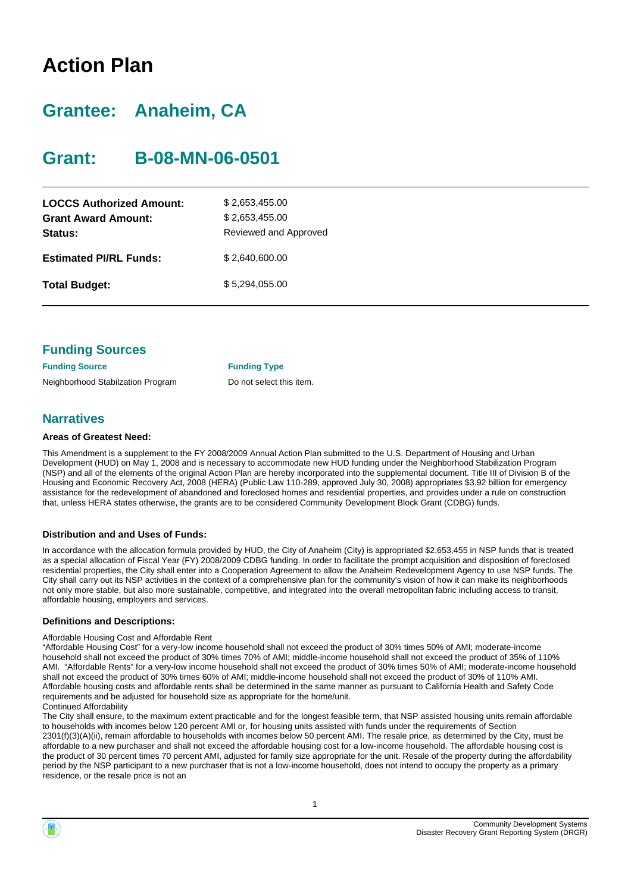# **Action Plan**

# **Grantee: Anaheim, CA**

# **Grant: B-08-MN-06-0501**

| <b>LOCCS Authorized Amount:</b><br><b>Grant Award Amount:</b><br>Status: | \$2,653,455.00<br>\$2,653,455.00<br>Reviewed and Approved |
|--------------------------------------------------------------------------|-----------------------------------------------------------|
| <b>Estimated PI/RL Funds:</b>                                            | \$2.640.600.00                                            |
| <b>Total Budget:</b>                                                     | \$5.294.055.00                                            |

| <b>Funding Sources</b>            |                          |
|-----------------------------------|--------------------------|
| <b>Funding Source</b>             | <b>Funding Type</b>      |
| Neighborhood Stabilzation Program | Do not select this item. |

# **Narratives**

#### **Areas of Greatest Need:**

This Amendment is a supplement to the FY 2008/2009 Annual Action Plan submitted to the U.S. Department of Housing and Urban Development (HUD) on May 1, 2008 and is necessary to accommodate new HUD funding under the Neighborhood Stabilization Program (NSP) and all of the elements of the original Action Plan are hereby incorporated into the supplemental document. Title III of Division B of the Housing and Economic Recovery Act, 2008 (HERA) (Public Law 110-289, approved July 30, 2008) appropriates \$3.92 billion for emergency assistance for the redevelopment of abandoned and foreclosed homes and residential properties, and provides under a rule on construction that, unless HERA states otherwise, the grants are to be considered Community Development Block Grant (CDBG) funds.

#### **Distribution and and Uses of Funds:**

In accordance with the allocation formula provided by HUD, the City of Anaheim (City) is appropriated \$2,653,455 in NSP funds that is treated as a special allocation of Fiscal Year (FY) 2008/2009 CDBG funding. In order to facilitate the prompt acquisition and disposition of foreclosed residential properties, the City shall enter into a Cooperation Agreement to allow the Anaheim Redevelopment Agency to use NSP funds. The City shall carry out its NSP activities in the context of a comprehensive plan for the community's vision of how it can make its neighborhoods not only more stable, but also more sustainable, competitive, and integrated into the overall metropolitan fabric including access to transit, affordable housing, employers and services.

#### **Definitions and Descriptions:**

#### Affordable Housing Cost and Affordable Rent

"Affordable Housing Cost" for a very-low income household shall not exceed the product of 30% times 50% of AMI; moderate-income household shall not exceed the product of 30% times 70% of AMI; middle-income household shall not exceed the product of 35% of 110% AMI. "Affordable Rents" for a very-low income household shall not exceed the product of 30% times 50% of AMI; moderate-income household shall not exceed the product of 30% times 60% of AMI; middle-income household shall not exceed the product of 30% of 110% AMI. Affordable housing costs and affordable rents shall be determined in the same manner as pursuant to California Health and Safety Code requirements and be adjusted for household size as appropriate for the home/unit. Continued Affordability

The City shall ensure, to the maximum extent practicable and for the longest feasible term, that NSP assisted housing units remain affordable to households with incomes below 120 percent AMI or, for housing units assisted with funds under the requirements of Section 2301(f)(3)(A)(ii), remain affordable to households with incomes below 50 percent AMI. The resale price, as determined by the City, must be affordable to a new purchaser and shall not exceed the affordable housing cost for a low-income household. The affordable housing cost is the product of 30 percent times 70 percent AMI, adjusted for family size appropriate for the unit. Resale of the property during the affordability period by the NSP participant to a new purchaser that is not a low-income household, does not intend to occupy the property as a primary residence, or the resale price is not an

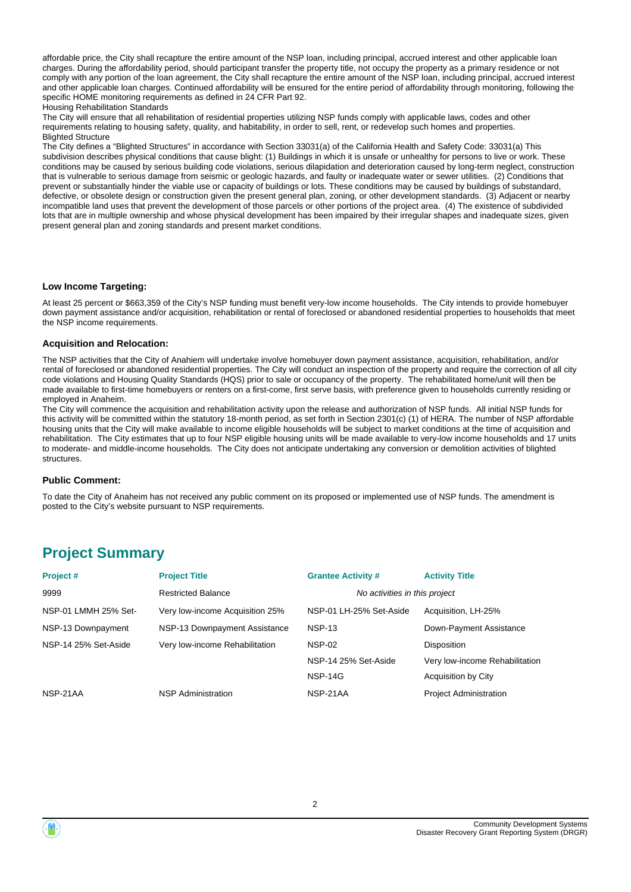affordable price, the City shall recapture the entire amount of the NSP loan, including principal, accrued interest and other applicable loan charges. During the affordability period, should participant transfer the property title, not occupy the property as a primary residence or not comply with any portion of the loan agreement, the City shall recapture the entire amount of the NSP loan, including principal, accrued interest and other applicable loan charges. Continued affordability will be ensured for the entire period of affordability through monitoring, following the specific HOME monitoring requirements as defined in 24 CFR Part 92.

Housing Rehabilitation Standards

The City will ensure that all rehabilitation of residential properties utilizing NSP funds comply with applicable laws, codes and other requirements relating to housing safety, quality, and habitability, in order to sell, rent, or redevelop such homes and properties. Blighted Structure

The City defines a "Blighted Structures" in accordance with Section 33031(a) of the California Health and Safety Code: 33031(a) This subdivision describes physical conditions that cause blight: (1) Buildings in which it is unsafe or unhealthy for persons to live or work. These conditions may be caused by serious building code violations, serious dilapidation and deterioration caused by long-term neglect, construction that is vulnerable to serious damage from seismic or geologic hazards, and faulty or inadequate water or sewer utilities. (2) Conditions that prevent or substantially hinder the viable use or capacity of buildings or lots. These conditions may be caused by buildings of substandard, defective, or obsolete design or construction given the present general plan, zoning, or other development standards. (3) Adjacent or nearby incompatible land uses that prevent the development of those parcels or other portions of the project area. (4) The existence of subdivided lots that are in multiple ownership and whose physical development has been impaired by their irregular shapes and inadequate sizes, given present general plan and zoning standards and present market conditions.

#### **Low Income Targeting:**

At least 25 percent or \$663,359 of the City's NSP funding must benefit very-low income households. The City intends to provide homebuyer down payment assistance and/or acquisition, rehabilitation or rental of foreclosed or abandoned residential properties to households that meet the NSP income requirements.

#### **Acquisition and Relocation:**

The NSP activities that the City of Anahiem will undertake involve homebuyer down payment assistance, acquisition, rehabilitation, and/or rental of foreclosed or abandoned residential properties. The City will conduct an inspection of the property and require the correction of all city code violations and Housing Quality Standards (HQS) prior to sale or occupancy of the property. The rehabilitated home/unit will then be made available to first-time homebuyers or renters on a first-come, first serve basis, with preference given to households currently residing or employed in Anaheim.

The City will commence the acquisition and rehabilitation activity upon the release and authorization of NSP funds. All initial NSP funds for this activity will be committed within the statutory 18-month period, as set forth in Section 2301(c) (1) of HERA. The number of NSP affordable housing units that the City will make available to income eligible households will be subject to market conditions at the time of acquisition and rehabilitation. The City estimates that up to four NSP eligible housing units will be made available to very-low income households and 17 units to moderate- and middle-income households. The City does not anticipate undertaking any conversion or demolition activities of blighted structures.

#### **Public Comment:**

To date the City of Anaheim has not received any public comment on its proposed or implemented use of NSP funds. The amendment is posted to the City's website pursuant to NSP requirements.

# **Project Summary**

| Project#             | <b>Project Title</b>            | <b>Grantee Activity #</b>     | <b>Activity Title</b>          |
|----------------------|---------------------------------|-------------------------------|--------------------------------|
| 9999                 | <b>Restricted Balance</b>       | No activities in this project |                                |
| NSP-01 LMMH 25% Set- | Very low-income Acquisition 25% | NSP-01 LH-25% Set-Aside       | Acquisition, LH-25%            |
| NSP-13 Downpayment   | NSP-13 Downpayment Assistance   | <b>NSP-13</b>                 | Down-Payment Assistance        |
| NSP-14 25% Set-Aside | Very low-income Rehabilitation  | <b>NSP-02</b>                 | <b>Disposition</b>             |
|                      |                                 | NSP-14 25% Set-Aside          | Very low-income Rehabilitation |
|                      |                                 | <b>NSP-14G</b>                | Acquisition by City            |
| NSP-21AA             | <b>NSP Administration</b>       | NSP-21AA                      | <b>Project Administration</b>  |



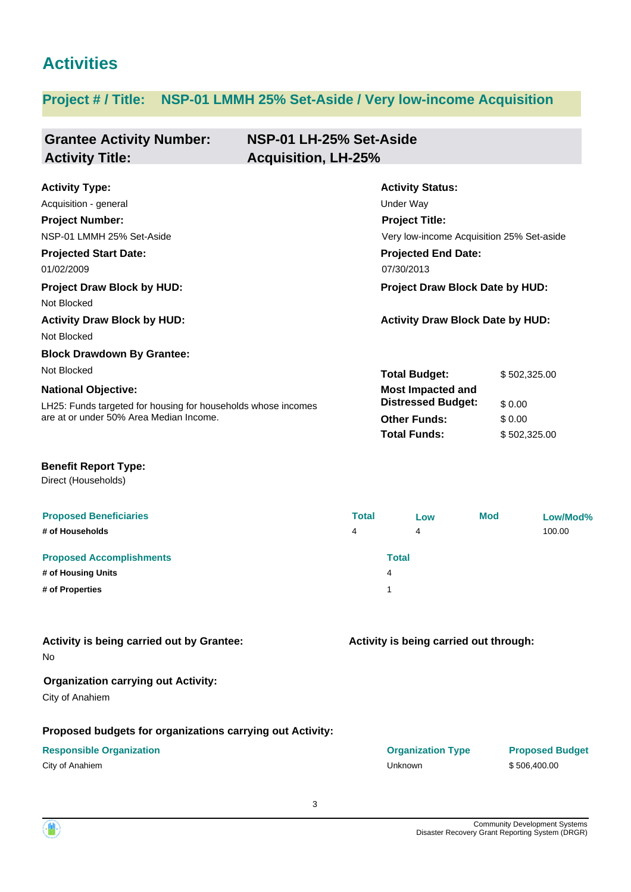# **Activities**

# **Project # / Title: NSP-01 LMMH 25% Set-Aside / Very low-income Acquisition**

| <b>Grantee Activity Number:</b><br><b>Activity Title:</b>                                   | NSP-01 LH-25% Set-Aside<br><b>Acquisition, LH-25%</b> |                                                       |              |          |
|---------------------------------------------------------------------------------------------|-------------------------------------------------------|-------------------------------------------------------|--------------|----------|
| <b>Activity Type:</b>                                                                       |                                                       | <b>Activity Status:</b>                               |              |          |
| Acquisition - general                                                                       |                                                       | Under Way                                             |              |          |
| <b>Project Number:</b>                                                                      |                                                       | <b>Project Title:</b>                                 |              |          |
| NSP-01 LMMH 25% Set-Aside                                                                   | Very low-income Acquisition 25% Set-aside             |                                                       |              |          |
| <b>Projected Start Date:</b>                                                                |                                                       | <b>Projected End Date:</b>                            |              |          |
| 01/02/2009                                                                                  |                                                       | 07/30/2013                                            |              |          |
| <b>Project Draw Block by HUD:</b><br>Not Blocked                                            |                                                       | Project Draw Block Date by HUD:                       |              |          |
| <b>Activity Draw Block by HUD:</b><br>Not Blocked                                           |                                                       | <b>Activity Draw Block Date by HUD:</b>               |              |          |
| <b>Block Drawdown By Grantee:</b>                                                           |                                                       |                                                       |              |          |
| Not Blocked                                                                                 |                                                       | <b>Total Budget:</b>                                  | \$502,325.00 |          |
| <b>National Objective:</b><br>LH25: Funds targeted for housing for households whose incomes |                                                       | <b>Most Impacted and</b><br><b>Distressed Budget:</b> | \$0.00       |          |
| are at or under 50% Area Median Income.                                                     |                                                       | <b>Other Funds:</b>                                   | \$0.00       |          |
|                                                                                             |                                                       | <b>Total Funds:</b>                                   | \$502,325.00 |          |
| <b>Benefit Report Type:</b><br>Direct (Households)                                          |                                                       |                                                       |              |          |
| <b>Proposed Beneficiaries</b>                                                               | <b>Total</b>                                          | Low                                                   | <b>Mod</b>   | Low/Mod% |
| # of Households                                                                             | 4                                                     | 4                                                     |              | 100.00   |
| <b>Proposed Accomplishments</b>                                                             |                                                       | <b>Total</b>                                          |              |          |
| # of Housing Units                                                                          |                                                       | 4                                                     |              |          |
| # of Properties                                                                             |                                                       | 1                                                     |              |          |
| Activity is being carried out by Grantee:<br>No                                             |                                                       | Activity is being carried out through:                |              |          |
| <b>Organization carrying out Activity:</b><br>City of Anahiem                               |                                                       |                                                       |              |          |

# **Proposed budgets for organizations carrying out Activity:**

#### **Responsible Organization COVID-10 COVID-10 Organization Type Proposed Budget**

City of Anahiem \$506,400.00

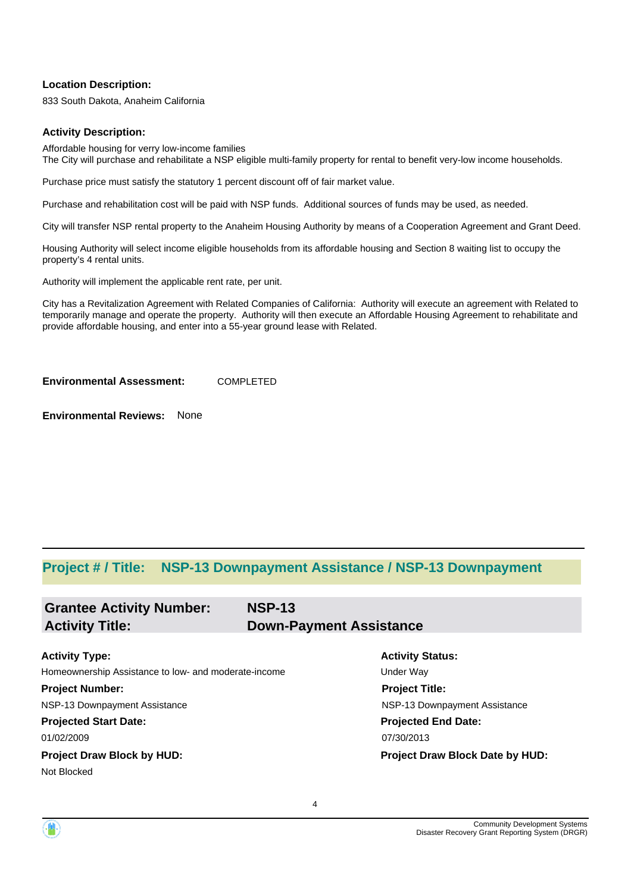#### **Location Description:**

833 South Dakota, Anaheim California

#### **Activity Description:**

Affordable housing for verry low-income families The City will purchase and rehabilitate a NSP eligible multi-family property for rental to benefit very-low income households.

Purchase price must satisfy the statutory 1 percent discount off of fair market value.

Purchase and rehabilitation cost will be paid with NSP funds. Additional sources of funds may be used, as needed.

City will transfer NSP rental property to the Anaheim Housing Authority by means of a Cooperation Agreement and Grant Deed.

Housing Authority will select income eligible households from its affordable housing and Section 8 waiting list to occupy the property's 4 rental units.

Authority will implement the applicable rent rate, per unit.

City has a Revitalization Agreement with Related Companies of California: Authority will execute an agreement with Related to temporarily manage and operate the property. Authority will then execute an Affordable Housing Agreement to rehabilitate and provide affordable housing, and enter into a 55-year ground lease with Related.

**Environmental Assessment:** COMPLETED

**Environmental Reviews:** None

# **Project # / Title: NSP-13 Downpayment Assistance / NSP-13 Downpayment**

| <b>NSP-13</b>                                        |                                 |
|------------------------------------------------------|---------------------------------|
|                                                      | <b>Down-Payment Assistance</b>  |
|                                                      |                                 |
|                                                      | <b>Activity Status:</b>         |
| Homeownership Assistance to low- and moderate-income | <b>Under Way</b>                |
|                                                      | <b>Project Title:</b>           |
|                                                      | NSP-13 Downpayment Assistance   |
|                                                      | <b>Projected End Date:</b>      |
|                                                      | 07/30/2013                      |
|                                                      | Project Draw Block Date by HUD: |
|                                                      |                                 |
|                                                      |                                 |

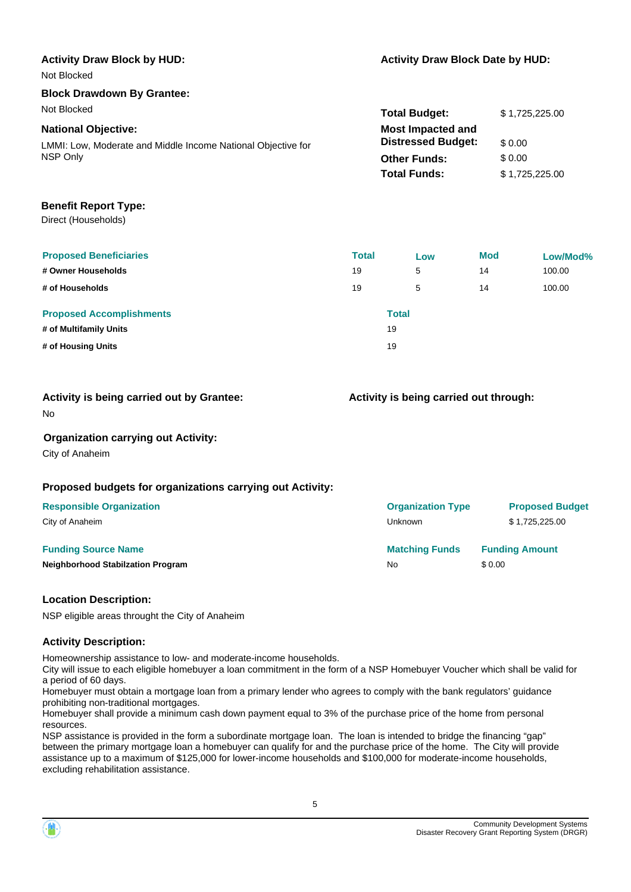| <b>Activity Draw Block by HUD:</b>                           | <b>Activity Draw Block Date by HUD:</b> |                |  |
|--------------------------------------------------------------|-----------------------------------------|----------------|--|
| Not Blocked                                                  |                                         |                |  |
| <b>Block Drawdown By Grantee:</b>                            |                                         |                |  |
| Not Blocked                                                  | <b>Total Budget:</b>                    | \$1,725,225.00 |  |
| <b>National Objective:</b>                                   | <b>Most Impacted and</b>                |                |  |
| LMMI: Low, Moderate and Middle Income National Objective for | <b>Distressed Budget:</b>               | \$0.00         |  |
| NSP Only                                                     | <b>Other Funds:</b>                     | \$0.00         |  |
|                                                              | <b>Total Funds:</b>                     | \$1,725,225.00 |  |
|                                                              |                                         |                |  |
| Bought Bought Trues                                          |                                         |                |  |

#### **Benefit Report Type:**

Direct (Households)

| <b>Proposed Beneficiaries</b>   | <b>Total</b> |              | Low | Mod | Low/Mod% |
|---------------------------------|--------------|--------------|-----|-----|----------|
| # Owner Households              | 19           |              | 5   | 14  | 100.00   |
| # of Households                 | 19           |              | 5   | 14  | 100.00   |
| <b>Proposed Accomplishments</b> |              | <b>Total</b> |     |     |          |
| # of Multifamily Units          |              | 19           |     |     |          |
| # of Housing Units              |              | 19           |     |     |          |

**Activity is being carried out by Grantee:**

# **Activity is being carried out through:**

No

### **Organization carrying out Activity:**

City of Anaheim

# **Proposed budgets for organizations carrying out Activity:**

| <b>Responsible Organization</b>          | <b>Organization Type</b> | <b>Proposed Budget</b> |
|------------------------------------------|--------------------------|------------------------|
| City of Anaheim                          | Unknown                  | \$1,725,225.00         |
| <b>Funding Source Name</b>               | <b>Matching Funds</b>    | <b>Funding Amount</b>  |
| <b>Neighborhood Stabilzation Program</b> | No                       | \$ 0.00                |

### **Location Description:**

NSP eligible areas throught the City of Anaheim

#### **Activity Description:**

Homeownership assistance to low- and moderate-income households.

City will issue to each eligible homebuyer a loan commitment in the form of a NSP Homebuyer Voucher which shall be valid for a period of 60 days.

Homebuyer must obtain a mortgage loan from a primary lender who agrees to comply with the bank regulators' guidance prohibiting non-traditional mortgages.

Homebuyer shall provide a minimum cash down payment equal to 3% of the purchase price of the home from personal resources.

NSP assistance is provided in the form a subordinate mortgage loan. The loan is intended to bridge the financing "gap" between the primary mortgage loan a homebuyer can qualify for and the purchase price of the home. The City will provide assistance up to a maximum of \$125,000 for lower-income households and \$100,000 for moderate-income households, excluding rehabilitation assistance.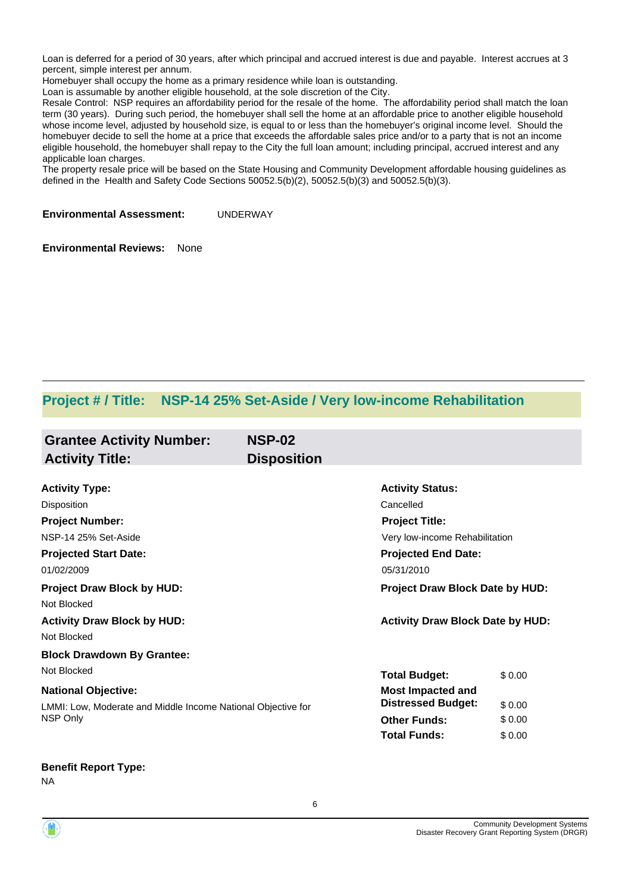Loan is deferred for a period of 30 years, after which principal and accrued interest is due and payable. Interest accrues at 3 percent, simple interest per annum.

Homebuyer shall occupy the home as a primary residence while loan is outstanding.

Loan is assumable by another eligible household, at the sole discretion of the City.

Resale Control: NSP requires an affordability period for the resale of the home. The affordability period shall match the loan term (30 years). During such period, the homebuyer shall sell the home at an affordable price to another eligible household whose income level, adjusted by household size, is equal to or less than the homebuyer's original income level. Should the homebuyer decide to sell the home at a price that exceeds the affordable sales price and/or to a party that is not an income eligible household, the homebuyer shall repay to the City the full loan amount; including principal, accrued interest and any applicable loan charges.

The property resale price will be based on the State Housing and Community Development affordable housing guidelines as defined in the Health and Safety Code Sections 50052.5(b)(2), 50052.5(b)(3) and 50052.5(b)(3).

**Environmental Assessment:** UNDERWAY

**Environmental Reviews:** None

# **Project # / Title: NSP-14 25% Set-Aside / Very low-income Rehabilitation**

| <b>Grantee Activity Number:</b><br><b>Activity Title:</b>    | <b>NSP-02</b><br><b>Disposition</b> |                                         |        |  |
|--------------------------------------------------------------|-------------------------------------|-----------------------------------------|--------|--|
|                                                              |                                     |                                         |        |  |
| <b>Activity Type:</b>                                        |                                     | <b>Activity Status:</b>                 |        |  |
| Disposition                                                  |                                     | Cancelled                               |        |  |
| <b>Project Number:</b>                                       |                                     | <b>Project Title:</b>                   |        |  |
| NSP-14 25% Set-Aside                                         |                                     | Very low-income Rehabilitation          |        |  |
| <b>Projected Start Date:</b>                                 |                                     | <b>Projected End Date:</b>              |        |  |
| 01/02/2009                                                   |                                     | 05/31/2010                              |        |  |
| <b>Project Draw Block by HUD:</b>                            |                                     | Project Draw Block Date by HUD:         |        |  |
| Not Blocked                                                  |                                     |                                         |        |  |
| <b>Activity Draw Block by HUD:</b>                           |                                     | <b>Activity Draw Block Date by HUD:</b> |        |  |
| Not Blocked                                                  |                                     |                                         |        |  |
| <b>Block Drawdown By Grantee:</b>                            |                                     |                                         |        |  |
| Not Blocked                                                  |                                     | <b>Total Budget:</b>                    | \$0.00 |  |
| <b>National Objective:</b>                                   |                                     | <b>Most Impacted and</b>                |        |  |
| LMMI: Low, Moderate and Middle Income National Objective for |                                     | <b>Distressed Budget:</b>               | \$0.00 |  |
| NSP Only                                                     |                                     | <b>Other Funds:</b>                     | \$0.00 |  |
|                                                              |                                     | <b>Total Funds:</b>                     | \$0.00 |  |

**Benefit Report Type:**

NA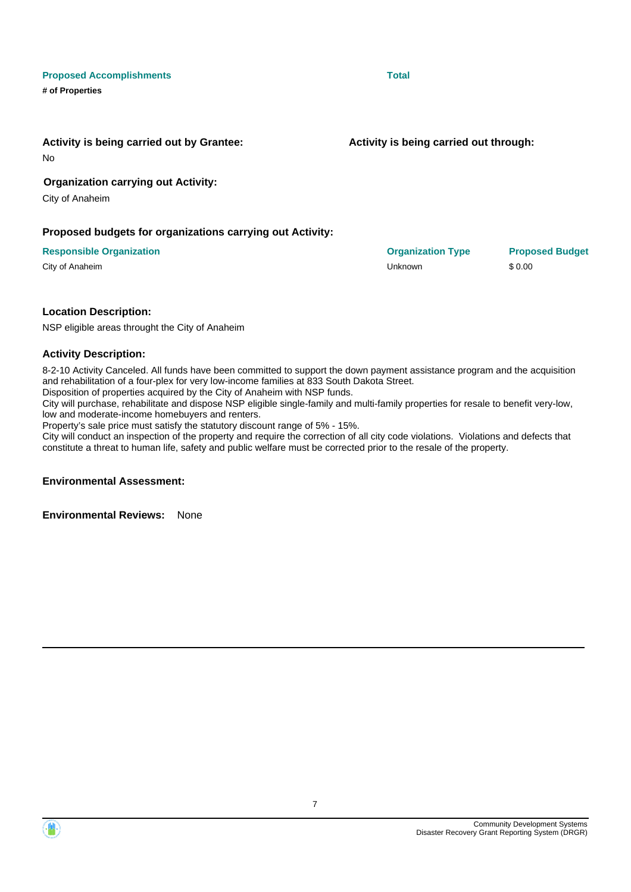

**Activity is being carried out by Grantee:**

No

# **Organization carrying out Activity:**

City of Anaheim

**# of Properties**

# **Proposed budgets for organizations carrying out Activity:**

### **Responsible Organization Organization Type Proposed Budget**

# **Location Description:**

NSP eligible areas throught the City of Anaheim

### **Activity Description:**

8-2-10 Activity Canceled. All funds have been committed to support the down payment assistance program and the acquisition and rehabilitation of a four-plex for very low-income families at 833 South Dakota Street.

Disposition of properties acquired by the City of Anaheim with NSP funds.

City will purchase, rehabilitate and dispose NSP eligible single-family and multi-family properties for resale to benefit very-low, low and moderate-income homebuyers and renters.

Property's sale price must satisfy the statutory discount range of 5% - 15%.

City will conduct an inspection of the property and require the correction of all city code violations. Violations and defects that constitute a threat to human life, safety and public welfare must be corrected prior to the resale of the property.

7

## **Environmental Assessment:**

**Environmental Reviews:** None

**Activity is being carried out through:**

**Proposed Accomplishments Total** 

City of Anaheim \$ 0.00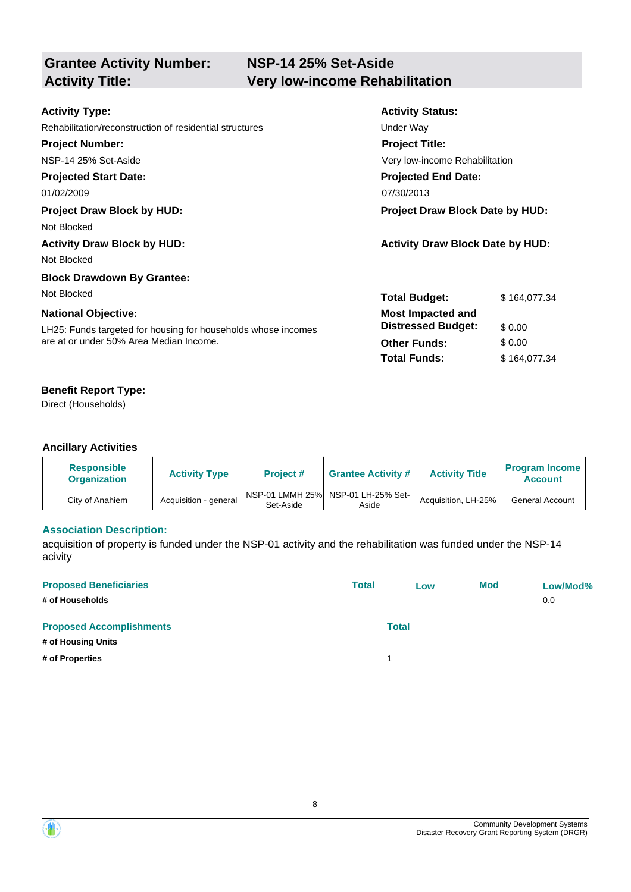| <b>Grantee Activity Number:</b> |  |
|---------------------------------|--|
| <b>Activity Title:</b>          |  |

| <b>Activity Type:</b>                                         | <b>Activity Status:</b>                 |  |
|---------------------------------------------------------------|-----------------------------------------|--|
| Rehabilitation/reconstruction of residential structures       | Under Way                               |  |
| <b>Project Number:</b>                                        | <b>Project Title:</b>                   |  |
| NSP-14 25% Set-Aside                                          | Very low-income Rehabilitation          |  |
| <b>Projected Start Date:</b>                                  | <b>Projected End Date:</b>              |  |
| 01/02/2009                                                    | 07/30/2013                              |  |
| <b>Project Draw Block by HUD:</b>                             | <b>Project Draw Block Date by HUD:</b>  |  |
| Not Blocked                                                   |                                         |  |
| <b>Activity Draw Block by HUD:</b>                            | <b>Activity Draw Block Date by HUD:</b> |  |
| Not Blocked                                                   |                                         |  |
| <b>Block Drawdown By Grantee:</b>                             |                                         |  |
| Not Blocked                                                   | <b>Total Budget:</b><br>\$164,077.34    |  |
| <b>National Objective:</b>                                    | <b>Most Impacted and</b>                |  |
| LH25: Funds targeted for housing for households whose incomes | <b>Distressed Budget:</b><br>\$0.00     |  |
| are at or under 50% Area Median Income.                       | \$0.00<br><b>Other Funds:</b>           |  |
|                                                               | <b>Total Funds:</b><br>\$164,077.34     |  |

# **Benefit Report Type:**

Direct (Households)

# **Ancillary Activities**

| <b>Responsible</b><br><b>Organization</b> | <b>Activity Type</b>  | <b>Project #</b>                     | <b>Grantee Activity #</b>   | <b>Activity Title</b> | <b>Program Income</b><br><b>Account</b> |
|-------------------------------------------|-----------------------|--------------------------------------|-----------------------------|-----------------------|-----------------------------------------|
| City of Anahiem                           | Acquisition - general | <b>INSP-01 LMMH 25%</b><br>Set-Aside | NSP-01 LH-25% Set-<br>Aside | Acquisition, LH-25%   | <b>General Account</b>                  |

# **Association Description:**

acquisition of property is funded under the NSP-01 activity and the rehabilitation was funded under the NSP-14 acivity

| <b>Proposed Beneficiaries</b><br># of Households | <b>Total</b> | Low | <b>Mod</b> | Low/Mod%<br>0.0 |
|--------------------------------------------------|--------------|-----|------------|-----------------|
| <b>Proposed Accomplishments</b>                  | <b>Total</b> |     |            |                 |
| # of Housing Units                               |              |     |            |                 |
| # of Properties                                  |              |     |            |                 |

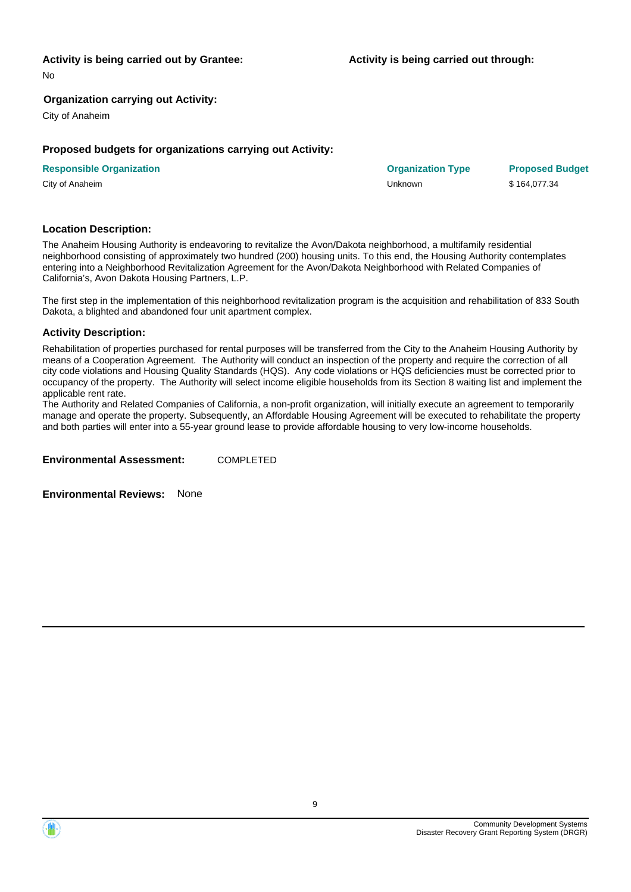#### **Activity is being carried out by Grantee:**

No

#### **Organization carrying out Activity:**

City of Anaheim

#### **Proposed budgets for organizations carrying out Activity:**

| <b>Responsible Organization</b> | <b>Organization Type</b> | <b>Proposed Budget</b> |
|---------------------------------|--------------------------|------------------------|
| City of Anaheim                 | Unknown                  | \$164.077.34           |

#### **Location Description:**

The Anaheim Housing Authority is endeavoring to revitalize the Avon/Dakota neighborhood, a multifamily residential neighborhood consisting of approximately two hundred (200) housing units. To this end, the Housing Authority contemplates entering into a Neighborhood Revitalization Agreement for the Avon/Dakota Neighborhood with Related Companies of California's, Avon Dakota Housing Partners, L.P.

The first step in the implementation of this neighborhood revitalization program is the acquisition and rehabilitation of 833 South Dakota, a blighted and abandoned four unit apartment complex.

#### **Activity Description:**

Rehabilitation of properties purchased for rental purposes will be transferred from the City to the Anaheim Housing Authority by means of a Cooperation Agreement. The Authority will conduct an inspection of the property and require the correction of all city code violations and Housing Quality Standards (HQS). Any code violations or HQS deficiencies must be corrected prior to occupancy of the property. The Authority will select income eligible households from its Section 8 waiting list and implement the applicable rent rate.

The Authority and Related Companies of California, a non-profit organization, will initially execute an agreement to temporarily manage and operate the property. Subsequently, an Affordable Housing Agreement will be executed to rehabilitate the property and both parties will enter into a 55-year ground lease to provide affordable housing to very low-income households.

**Environmental Assessment:** COMPLETED

**Environmental Reviews:** None

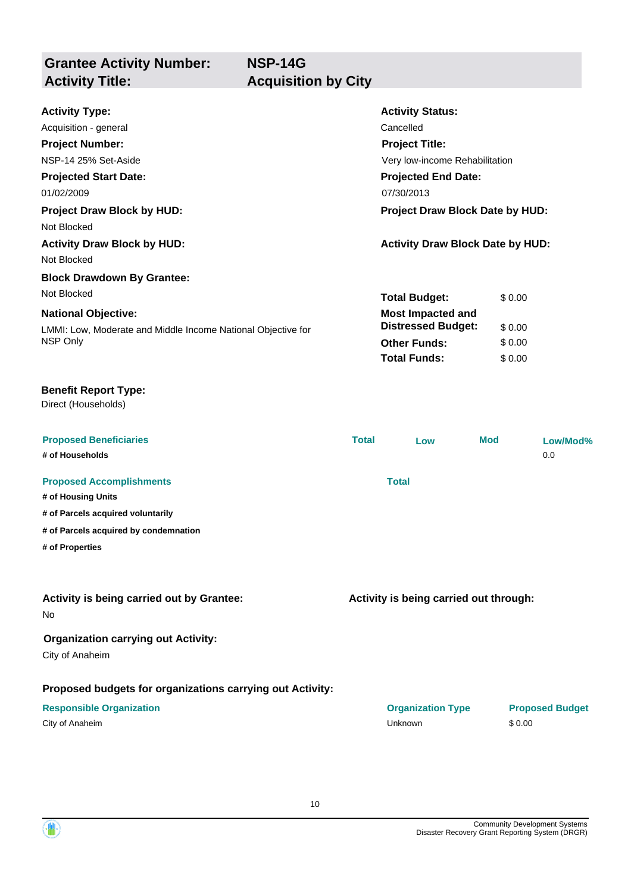**NSP-14G**

**Grantee Activity Number: Activity Title: Acquisition by City**

| <b>Activity Type:</b>                                         |              | <b>Activity Status:</b>                 |     |        |                        |
|---------------------------------------------------------------|--------------|-----------------------------------------|-----|--------|------------------------|
| Acquisition - general                                         |              | Cancelled                               |     |        |                        |
| <b>Project Number:</b>                                        |              | <b>Project Title:</b>                   |     |        |                        |
| NSP-14 25% Set-Aside                                          |              | Very low-income Rehabilitation          |     |        |                        |
| <b>Projected Start Date:</b>                                  |              | <b>Projected End Date:</b>              |     |        |                        |
| 01/02/2009                                                    |              | 07/30/2013                              |     |        |                        |
| <b>Project Draw Block by HUD:</b>                             |              | Project Draw Block Date by HUD:         |     |        |                        |
| Not Blocked                                                   |              |                                         |     |        |                        |
| <b>Activity Draw Block by HUD:</b>                            |              | <b>Activity Draw Block Date by HUD:</b> |     |        |                        |
| Not Blocked                                                   |              |                                         |     |        |                        |
| <b>Block Drawdown By Grantee:</b>                             |              |                                         |     |        |                        |
| Not Blocked                                                   |              | <b>Total Budget:</b>                    |     | \$0.00 |                        |
| <b>National Objective:</b>                                    |              | <b>Most Impacted and</b>                |     |        |                        |
| LMMI: Low, Moderate and Middle Income National Objective for  |              | <b>Distressed Budget:</b>               |     | \$0.00 |                        |
| NSP Only                                                      |              | <b>Other Funds:</b>                     |     | \$0.00 |                        |
|                                                               |              | <b>Total Funds:</b>                     |     | \$0.00 |                        |
| <b>Benefit Report Type:</b><br>Direct (Households)            |              |                                         |     |        |                        |
| <b>Proposed Beneficiaries</b>                                 | <b>Total</b> | Low                                     | Mod |        | Low/Mod%               |
| # of Households                                               |              |                                         |     |        | 0.0                    |
| <b>Proposed Accomplishments</b>                               |              | <b>Total</b>                            |     |        |                        |
| # of Housing Units                                            |              |                                         |     |        |                        |
| # of Parcels acquired voluntarily                             |              |                                         |     |        |                        |
| # of Parcels acquired by condemnation                         |              |                                         |     |        |                        |
| # of Properties                                               |              |                                         |     |        |                        |
|                                                               |              |                                         |     |        |                        |
| Activity is being carried out by Grantee:<br>No.              |              | Activity is being carried out through:  |     |        |                        |
| <b>Organization carrying out Activity:</b><br>City of Anaheim |              |                                         |     |        |                        |
| Proposed budgets for organizations carrying out Activity:     |              |                                         |     |        |                        |
| <b>Responsible Organization</b>                               |              | <b>Organization Type</b>                |     |        | <b>Proposed Budget</b> |
| City of Anaheim                                               |              | Unknown                                 |     | \$0.00 |                        |
|                                                               |              |                                         |     |        |                        |



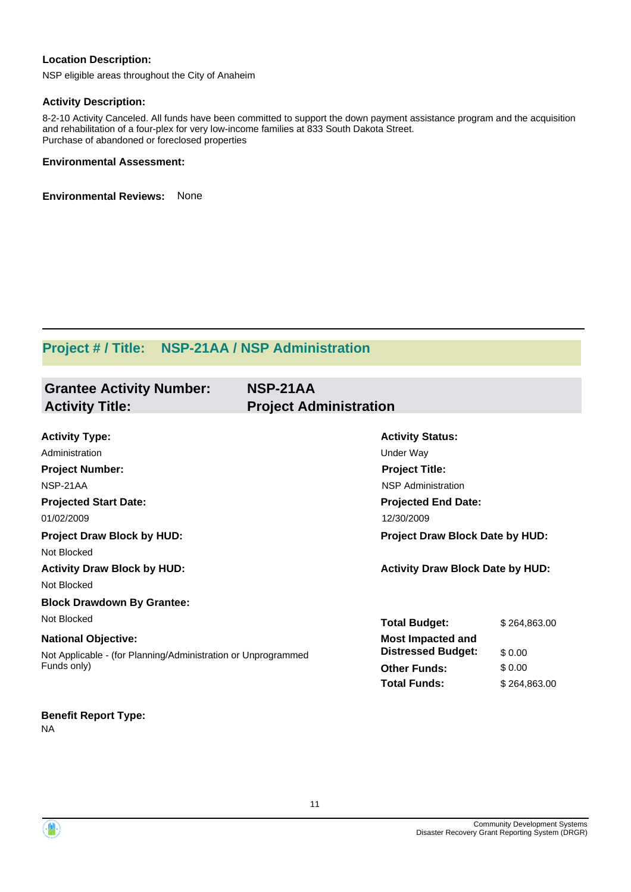# **Location Description:**

NSP eligible areas throughout the City of Anaheim

## **Activity Description:**

8-2-10 Activity Canceled. All funds have been committed to support the down payment assistance program and the acquisition and rehabilitation of a four-plex for very low-income families at 833 South Dakota Street. Purchase of abandoned or foreclosed properties

## **Environmental Assessment:**

**Environmental Reviews:** None

# **Project # / Title: NSP-21AA / NSP Administration**

| <b>Grantee Activity Number:</b><br><b>Activity Title:</b>                    | NSP-21AA<br><b>Project Administration</b> |                                 |  |  |
|------------------------------------------------------------------------------|-------------------------------------------|---------------------------------|--|--|
|                                                                              |                                           |                                 |  |  |
| <b>Activity Type:</b>                                                        | <b>Activity Status:</b>                   |                                 |  |  |
| Administration                                                               | Under Way                                 |                                 |  |  |
| <b>Project Number:</b>                                                       |                                           | <b>Project Title:</b>           |  |  |
| NSP-21AA                                                                     | <b>NSP Administration</b>                 |                                 |  |  |
| <b>Projected Start Date:</b>                                                 | <b>Projected End Date:</b>                |                                 |  |  |
| 01/02/2009                                                                   | 12/30/2009                                |                                 |  |  |
| <b>Project Draw Block by HUD:</b>                                            |                                           | Project Draw Block Date by HUD: |  |  |
| Not Blocked                                                                  |                                           |                                 |  |  |
| <b>Activity Draw Block by HUD:</b>                                           | <b>Activity Draw Block Date by HUD:</b>   |                                 |  |  |
| Not Blocked                                                                  |                                           |                                 |  |  |
| <b>Block Drawdown By Grantee:</b>                                            |                                           |                                 |  |  |
| Not Blocked                                                                  | <b>Total Budget:</b>                      | \$264,863.00                    |  |  |
| <b>National Objective:</b>                                                   | <b>Most Impacted and</b>                  |                                 |  |  |
| Not Applicable - (for Planning/Administration or Unprogrammed<br>Funds only) | <b>Distressed Budget:</b>                 | \$0.00                          |  |  |
|                                                                              | <b>Other Funds:</b>                       | \$0.00                          |  |  |
|                                                                              | <b>Total Funds:</b>                       | \$264,863.00                    |  |  |
|                                                                              |                                           |                                 |  |  |
| <b>Benefit Report Type:</b>                                                  |                                           |                                 |  |  |

NA

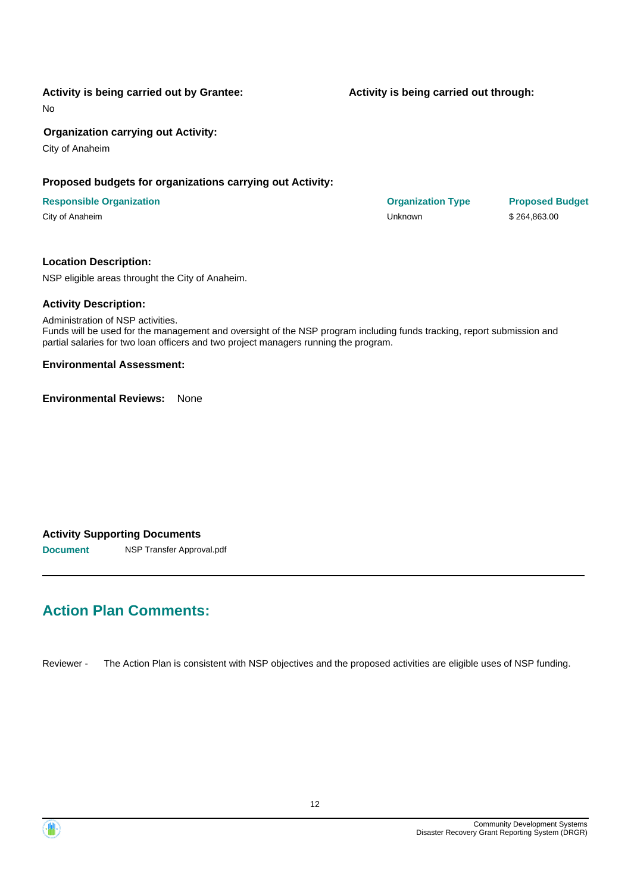# **Activity is being carried out by Grantee:**

No

## **Organization carrying out Activity:**

City of Anaheim

# **Proposed budgets for organizations carrying out Activity:**

#### **Responsible Organization COVID-10 COVID-10 Organization Type Proposed Budget** City of Anaheim Unknown \$ 264,863.00

### **Location Description:**

NSP eligible areas throught the City of Anaheim.

### **Activity Description:**

Administration of NSP activities. Funds will be used for the management and oversight of the NSP program including funds tracking, report submission and partial salaries for two loan officers and two project managers running the program.

#### **Environmental Assessment:**

**Environmental Reviews:** None

### **Activity Supporting Documents**

**Document** NSP Transfer Approval.pdf

# **Action Plan Comments:**

Reviewer - The Action Plan is consistent with NSP objectives and the proposed activities are eligible uses of NSP funding.

#### **Activity is being carried out through:**